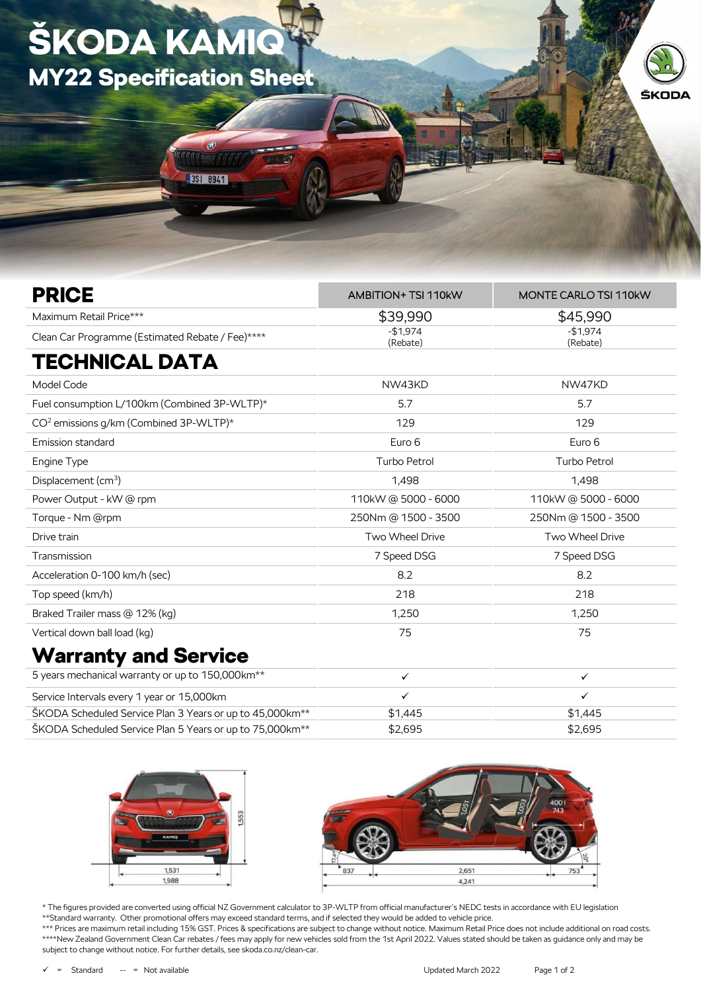## ŠKODA KAMIQ MY22 Specification Sheet

3SI 8941

| <b>PRICE</b>                                       | AMBITION+ TSI 110kW   | <b>MONTE CARLO TSI 110kW</b> |
|----------------------------------------------------|-----------------------|------------------------------|
| Maximum Retail Price***                            | \$39,990              | \$45,990                     |
| Clean Car Programme (Estimated Rebate / Fee)****   | $-$1,974$<br>(Rebate) | $-$1,974$<br>(Rebate)        |
| <b>TECHNICAL DATA</b>                              |                       |                              |
| Model Code                                         | NW43KD                | NW47KD                       |
| Fuel consumption L/100km (Combined 3P-WLTP)*       | 5.7                   | 5.7                          |
| CO <sup>2</sup> emissions g/km (Combined 3P-WLTP)* | 129                   | 129                          |
| Emission standard                                  | Euro 6                | Euro 6                       |
| Engine Type                                        | <b>Turbo Petrol</b>   | <b>Turbo Petrol</b>          |
| Displacement (cm <sup>3</sup> )                    | 1,498                 | 1,498                        |
| Power Output - kW @ rpm                            | 110kW@5000-6000       | 110kW @ 5000 - 6000          |
| Torque - Nm @rpm                                   | 250Nm @ 1500 - 3500   | 250Nm @ 1500 - 3500          |
| Drive train                                        | Two Wheel Drive       | Two Wheel Drive              |
| Transmission                                       | 7 Speed DSG           | 7 Speed DSG                  |
| Acceleration 0-100 km/h (sec)                      | 8.2                   | 8.2                          |
| Top speed (km/h)                                   | 218                   | 218                          |
| Braked Trailer mass @ 12% (kg)                     | 1,250                 | 1,250                        |
| Vertical down ball load (kg)                       | 75                    | 75                           |
| <b>Warranty and Service</b>                        |                       |                              |

| 5 years mechanical warranty or up to 150,000 km <sup>**</sup>         |         |         |
|-----------------------------------------------------------------------|---------|---------|
| Service Intervals every 1 year or 15,000km                            |         |         |
| SKODA Scheduled Service Plan 3 Years or up to 45,000 km <sup>**</sup> | \$1.445 | \$1.445 |
| SKODA Scheduled Service Plan 5 Years or up to 75,000 km <sup>**</sup> | \$2,695 | \$2.695 |





\* The figures provided are converted using official NZ Government calculator to 3P-WLTP from official manufacturer's NEDC tests in accordance with EU legislation \*\*Standard warranty. Other promotional offers may exceed standard terms, and if selected they would be added to vehicle price.

\*\*\* Prices are maximum retail including 15% GST. Prices & specifications are subject to change without notice. Maximum Retail Price does not include additional on road costs. \*\*\*\*New Zealand Government Clean Car rebates / fees may apply for new vehicles sold from the 1st April 2022. Values stated should be taken as guidance only and may be subject to change without notice. For further details, see skoda.co.nz/clean-car.

ŠKODA